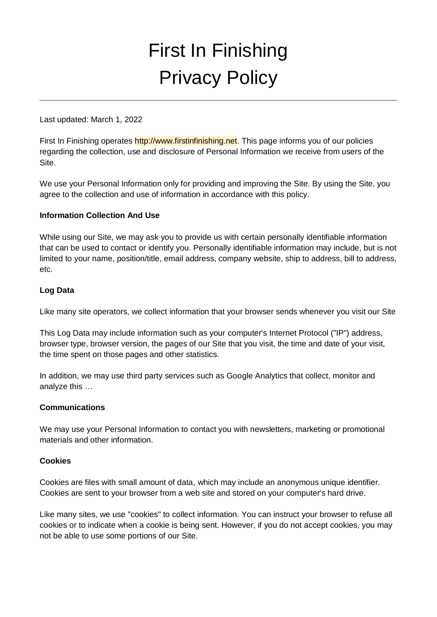# First In Finishing Privacy Policy

Last updated: March 1, 2022

First In Finishing operates [http://www.firstinfinishing.net. T](http://www.firstinfinishing.net/)his page informs you of our policies regarding the collection, use and disclosure of Personal Information we receive from users of the Site.

We use your Personal Information only for providing and improving the Site. By using the Site, you agree to the collection and use of information in accordance with this policy.

## **Information Collection And Use**

While using our Site, we may ask you to provide us with certain personally identifiable information that can be used to contact or identify you. Personally identifiable information may include, but is not limited to your name, position/title, email address, company website, ship to address, bill to address, etc.

## **Log Data**

Like many site operators, we collect information that your browser sends whenever you visit our Site

This Log Data may include information such as your computer's Internet Protocol ("IP") address, browser type, browser version, the pages of our Site that you visit, the time and date of your visit, the time spent on those pages and other statistics.

In addition, we may use third party services such as Google Analytics that collect, monitor and analyze this …

#### **Communications**

We may use your Personal Information to contact you with newsletters, marketing or promotional materials and other information.

#### **Cookies**

Cookies are files with small amount of data, which may include an anonymous unique identifier. Cookies are sent to your browser from a web site and stored on your computer's hard drive.

Like many sites, we use "cookies" to collect information. You can instruct your browser to refuse all cookies or to indicate when a cookie is being sent. However, if you do not accept cookies, you may not be able to use some portions of our Site.